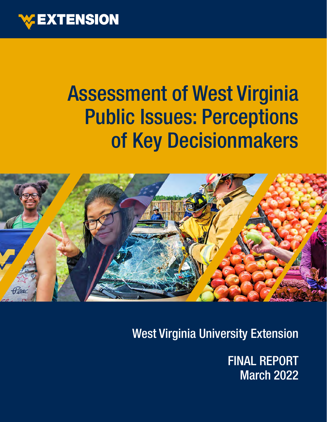

### Assessment of West Virginia Public Issues: Perceptions of Key Decisionmakers



West Virginia University Extension

FINAL REPORT March 2022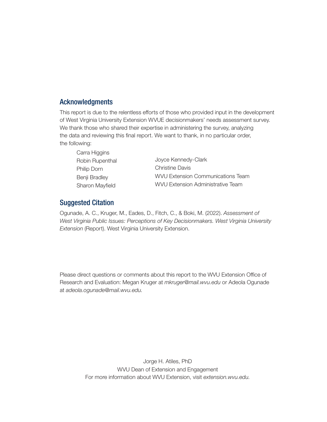### Acknowledgments

This report is due to the relentless efforts of those who provided input in the development of West Virginia University Extension WVUE decisionmakers' needs assessment survey. We thank those who shared their expertise in administering the survey, analyzing the data and reviewing this final report. We want to thank, in no particular order, the following:

| Carra Higgins   |                                          |
|-----------------|------------------------------------------|
| Robin Rupenthal | Joyce Kennedy-Clark                      |
| Philip Dorn     | <b>Christine Davis</b>                   |
| Benji Bradley   | <b>WVU Extension Communications Team</b> |
| Sharon Mayfield | <b>WVU Extension Administrative Team</b> |

### Suggested Citation

Ogunade, A. C., Kruger, M., Eades, D., Fitch, C., & Boki, M. (2022). *Assessment of West Virginia Public Issues: Perceptions of Key Decisionmakers. West Virginia University Extension* (Report). West Virginia University Extension.

Please direct questions or comments about this report to the WVU Extension Office of Research and Evaluation: Megan Kruger at *mkruger@mail.wvu.edu* or Adeola Ogunade at *adeola.ogunade@mail.wvu.edu.*

> Jorge H. Atiles, PhD WVU Dean of Extension and Engagement For more information about WVU Extension, visit *extension.wvu.edu.*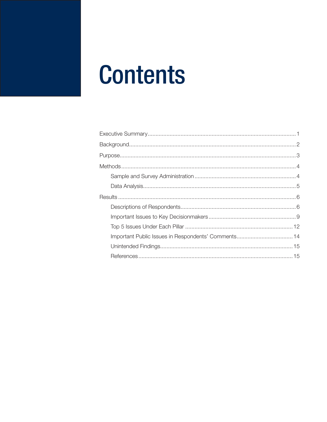## **Contents**

| Important Public Issues in Respondents' Comments 14 |  |
|-----------------------------------------------------|--|
|                                                     |  |
|                                                     |  |
|                                                     |  |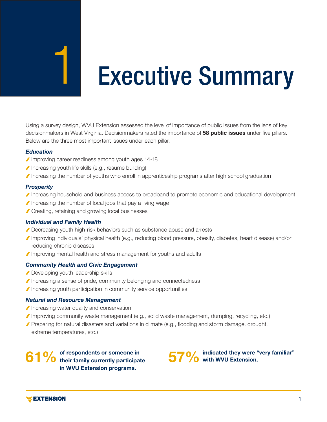# Executive Summary

Using a survey design, WVU Extension assessed the level of importance of public issues from the lens of key decisionmakers in West Virginia. Decisionmakers rated the importance of 58 public issues under five pillars. Below are the three most important issues under each pillar.

#### *Education*

- Improving career readiness among youth ages 14-18
- Increasing youth life skills (e.g., resume building)
- Increasing the number of youths who enroll in apprenticeship programs after high school graduation

#### *Prosperity*

- Increasing household and business access to broadband to promote economic and educational development
- $\blacktriangleright$  Increasing the number of local jobs that pay a living wage
- Creating, retaining and growing local businesses

#### *Individual and Family Health*

- Decreasing youth high-risk behaviors such as substance abuse and arrests
- Improving individuals' physical health (e.g., reducing blood pressure, obesity, diabetes, heart disease) and/or reducing chronic diseases
- Improving mental health and stress management for youths and adults

#### *Community Health and Civic Engagement*

- Developing youth leadership skills
- Increasing a sense of pride, community belonging and connectedness
- Increasing youth participation in community service opportunities

#### *Natural and Resource Management*

- Increasing water quality and conservation
- Improving community waste management (e.g., solid waste management, dumping, recycling, etc.)
- Preparing for natural disasters and variations in climate (e.g., flooding and storm damage, drought, extreme temperatures, etc.)

61% of respondents or someone in<br>
61% with WVU Extension. their family currently participate in WVU Extension programs.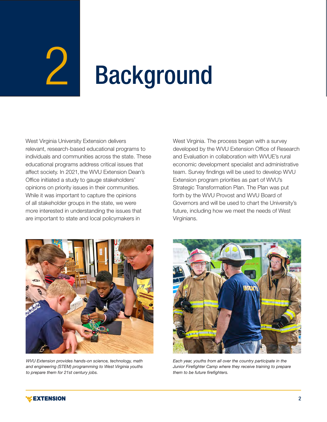# $\angle$

# Background

West Virginia University Extension delivers relevant, research-based educational programs to individuals and communities across the state. These educational programs address critical issues that affect society. In 2021, the WVU Extension Dean's Office initiated a study to gauge stakeholders' opinions on priority issues in their communities. While it was important to capture the opinions of all stakeholder groups in the state, we were more interested in understanding the issues that are important to state and local policymakers in

West Virginia. The process began with a survey developed by the WVU Extension Office of Research and Evaluation in collaboration with WVUE's rural economic development specialist and administrative team. Survey findings will be used to develop WVU Extension program priorities as part of WVU's Strategic Transformation Plan. The Plan was put forth by the WVU Provost and WVU Board of Governors and will be used to chart the University's future, including how we meet the needs of West Virginians.



*WVU Extension provides hands-on science, technology, math and engineering (STEM) programming to West Virginia youths to prepare them for 21st century jobs.*



*Each year, youths from all over the country participate in the Junior Firefighter Camp where they receive training to prepare them to be future firefighters.*

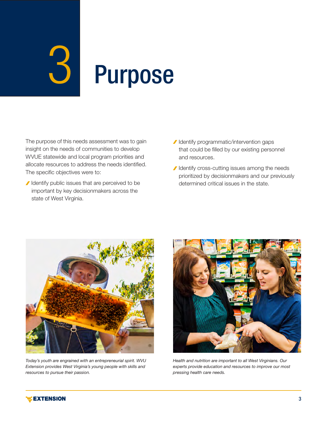# $3\,$ Purpose

The purpose of this needs assessment was to gain insight on the needs of communities to develop WVUE statewide and local program priorities and allocate resources to address the needs identified. The specific objectives were to:

- I Identify public issues that are perceived to be important by key decisionmakers across the state of West Virginia.
- I Identify programmatic/intervention gaps that could be filled by our existing personnel and resources.
- I Identify cross-cutting issues among the needs prioritized by decisionmakers and our previously determined critical issues in the state.



*Today's youth are engrained with an entrepreneurial spirit. WVU Extension provides West Virginia's young people with skills and resources to pursue their passion.*



*Health and nutrition are important to all West Virginians. Our experts provide education and resources to improve our most pressing health care needs.*

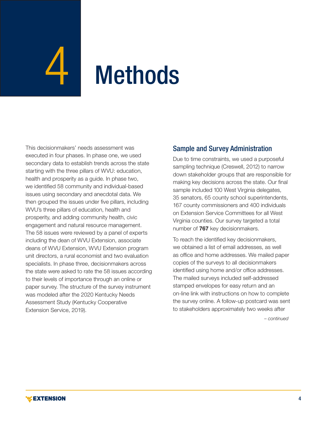# **Methods**

This decisionmakers' needs assessment was executed in four phases. In phase one, we used secondary data to establish trends across the state starting with the three pillars of WVU: education, health and prosperity as a guide. In phase two, we identified 58 community and individual-based issues using secondary and anecdotal data. We then grouped the issues under five pillars, including WVU's three pillars of education, health and prosperity, and adding community health, civic engagement and natural resource management. The 58 issues were reviewed by a panel of experts including the dean of WVU Extension, associate deans of WVU Extension, WVU Extension program unit directors, a rural economist and two evaluation specialists. In phase three, decisionmakers across the state were asked to rate the 58 issues according to their levels of importance through an online or paper survey. The structure of the survey instrument was modeled after the 2020 Kentucky Needs Assessment Study (Kentucky Cooperative Extension Service, 2019).

### Sample and Survey Administration

Due to time constraints, we used a purposeful sampling technique (Creswell, 2012) to narrow down stakeholder groups that are responsible for making key decisions across the state. Our final sample included 100 West Virginia delegates, 35 senators, 65 county school superintendents, 167 county commissioners and 400 individuals on Extension Service Committees for all West Virginia counties. Our survey targeted a total number of 767 key decisionmakers.

To reach the identified key decisionmakers, we obtained a list of email addresses, as well as office and home addresses. We mailed paper copies of the surveys to all decisionmakers identified using home and/or office addresses. The mailed surveys included self-addressed stamped envelopes for easy return and an on-line link with instructions on how to complete the survey online. A follow-up postcard was sent to stakeholders approximately two weeks after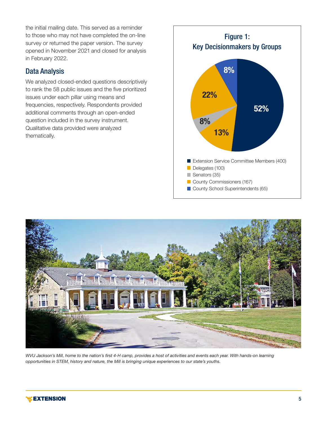the initial mailing date. This served as a reminder to those who may not have completed the on-line survey or returned the paper version. The survey opened in November 2021 and closed for analysis in February 2022.

### Data Analysis

We analyzed closed-ended questions descriptively to rank the 58 public issues and the five prioritized issues under each pillar using means and frequencies, respectively. Respondents provided additional comments through an open-ended question included in the survey instrument. Qualitative data provided were analyzed thematically.





*WVU Jackson's Mill, home to the nation's first 4-H camp, provides a host of activities and events each year. With hands-on learning opportunities in STEM, history and nature, the Mill is bringing unique experiences to our state's youths.*

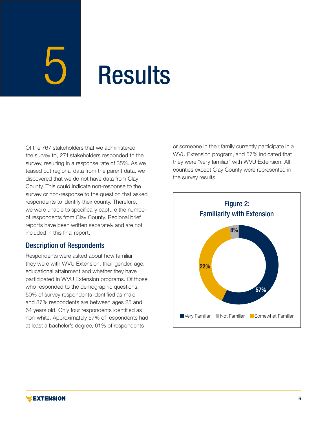### **Results**

Of the 767 stakeholders that we administered the survey to, 271 stakeholders responded to the survey, resulting in a response rate of 35%. As we teased out regional data from the parent data, we discovered that we do not have data from Clay County. This could indicate non-response to the survey or non-response to the question that asked respondents to identify their county. Therefore, we were unable to specifically capture the number of respondents from Clay County. Regional brief reports have been written separately and are not included in this final report.

### Description of Respondents

Respondents were asked about how familiar they were with WVU Extension, their gender, age, educational attainment and whether they have participated in WVU Extension programs. Of those who responded to the demographic questions, 50% of survey respondents identified as male and 87% respondents are between ages 25 and 64 years old. Only four respondents identified as non-white. Approximately 57% of respondents had at least a bachelor's degree, 61% of respondents

or someone in their family currently participate in a WVU Extension program, and 57% indicated that they were "very familiar" with WVU Extension. All counties except Clay County were represented in the survey results.

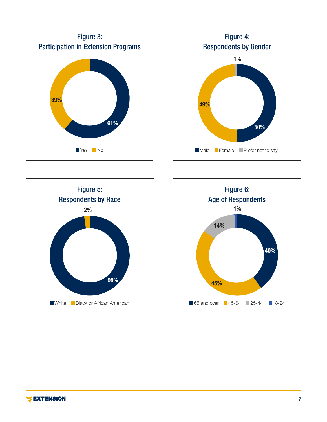





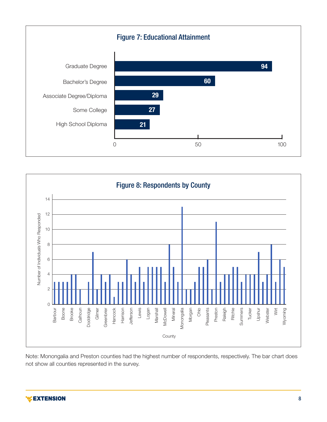



Note: Monongalia and Preston counties had the highest number of respondents, respectively. The bar chart does not show all counties represented in the survey.

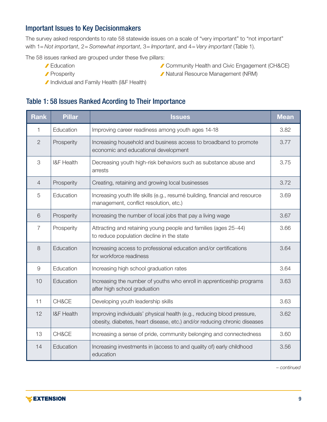### Important Issues to Key Decisionmakers

The survey asked respondents to rate 58 statewide issues on a scale of "very important" to "not important" with 1= *Not important*, 2= *Somewhat important*, 3= *Important*, and 4= *Very important* (Table 1).

The 58 issues ranked are grouped under these five pillars:

- 
- 
- Education **CHACE**
- Prosperity **Natural Resource Management (NRM)**
- Individual and Family Health (I&F Health)

### Table 1: 58 Issues Ranked Acording to Their Importance

| <b>Rank</b>    | <b>Pillar</b>         | <b>Issues</b>                                                                                                                                      |      |  |  |
|----------------|-----------------------|----------------------------------------------------------------------------------------------------------------------------------------------------|------|--|--|
| 1              | Education             | Improving career readiness among youth ages 14-18                                                                                                  | 3.82 |  |  |
| $\overline{2}$ | Prosperity            | Increasing household and business access to broadband to promote<br>economic and educational development                                           | 3.77 |  |  |
| 3              | <b>I&amp;F Health</b> | Decreasing youth high-risk behaviors such as substance abuse and<br>arrests                                                                        | 3.75 |  |  |
| $\overline{4}$ | Prosperity            | Creating, retaining and growing local businesses                                                                                                   | 3.72 |  |  |
| 5              | Education             | Increasing youth life skills (e.g., resumé building, financial and resource<br>management, conflict resolution, etc.)                              | 3.69 |  |  |
| 6              | Prosperity            | Increasing the number of local jobs that pay a living wage                                                                                         | 3.67 |  |  |
| $\overline{7}$ | Prosperity            | Attracting and retaining young people and families (ages 25-44)<br>to reduce population decline in the state                                       |      |  |  |
| 8              | Education             | Increasing access to professional education and/or certifications<br>for workforce readiness                                                       |      |  |  |
| $\overline{9}$ | Education             | Increasing high school graduation rates                                                                                                            |      |  |  |
| 10             | Education             | Increasing the number of youths who enroll in apprenticeship programs<br>after high school graduation                                              |      |  |  |
| 11             | CH&CE                 | Developing youth leadership skills                                                                                                                 |      |  |  |
| 12             | <b>I&amp;F Health</b> | Improving individuals' physical health (e.g., reducing blood pressure,<br>obesity, diabetes, heart disease, etc.) and/or reducing chronic diseases |      |  |  |
| 13             | CH&CE                 | Increasing a sense of pride, community belonging and connectedness                                                                                 |      |  |  |
| 14             | Education             | Increasing investments in (access to and quality of) early childhood<br>education                                                                  |      |  |  |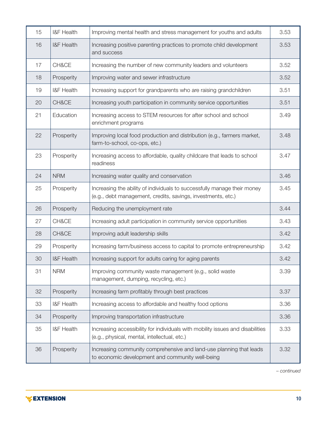| 15 | I&F Health                                                                                                                            | Improving mental health and stress management for youths and adults                                                                      |      |  |  |
|----|---------------------------------------------------------------------------------------------------------------------------------------|------------------------------------------------------------------------------------------------------------------------------------------|------|--|--|
| 16 | <b>I&amp;F Health</b>                                                                                                                 | Increasing positive parenting practices to promote child development<br>and success                                                      |      |  |  |
| 17 | CH&CE                                                                                                                                 | Increasing the number of new community leaders and volunteers                                                                            | 3.52 |  |  |
| 18 | Prosperity                                                                                                                            | Improving water and sewer infrastructure                                                                                                 | 3.52 |  |  |
| 19 | I&F Health                                                                                                                            | Increasing support for grandparents who are raising grandchildren                                                                        | 3.51 |  |  |
| 20 | CH&CE                                                                                                                                 | Increasing youth participation in community service opportunities                                                                        | 3.51 |  |  |
| 21 | Education                                                                                                                             | Increasing access to STEM resources for after school and school<br>enrichment programs                                                   | 3.49 |  |  |
| 22 | Prosperity                                                                                                                            | Improving local food production and distribution (e.g., farmers market,<br>farm-to-school, co-ops, etc.)                                 |      |  |  |
| 23 | Prosperity                                                                                                                            | Increasing access to affordable, quality childcare that leads to school<br>readiness                                                     |      |  |  |
| 24 | <b>NRM</b>                                                                                                                            | Increasing water quality and conservation                                                                                                |      |  |  |
| 25 | Prosperity                                                                                                                            | Increasing the ability of individuals to successfully manage their money<br>(e.g., debt management, credits, savings, investments, etc.) |      |  |  |
| 26 | Prosperity                                                                                                                            | Reducing the unemployment rate                                                                                                           |      |  |  |
| 27 | CH&CE                                                                                                                                 | Increasing adult participation in community service opportunities                                                                        |      |  |  |
| 28 | CH&CE                                                                                                                                 | Improving adult leadership skills                                                                                                        | 3.42 |  |  |
| 29 | Prosperity                                                                                                                            | Increasing farm/business access to capital to promote entrepreneurship                                                                   | 3.42 |  |  |
| 30 | <b>I&amp;F Health</b>                                                                                                                 | Increasing support for adults caring for aging parents                                                                                   | 3.42 |  |  |
| 31 | <b>NRM</b>                                                                                                                            | Improving community waste management (e.g., solid waste<br>management, dumping, recycling, etc.)                                         |      |  |  |
| 32 | Prosperity                                                                                                                            | Increasing farm profitably through best practices                                                                                        |      |  |  |
| 33 | I&F Health                                                                                                                            | Increasing access to affordable and healthy food options                                                                                 |      |  |  |
| 34 | Prosperity                                                                                                                            | Improving transportation infrastructure                                                                                                  |      |  |  |
| 35 | I&F Health                                                                                                                            | Increasing accessibility for individuals with mobility issues and disabilities<br>(e.g., physical, mental, intellectual, etc.)           |      |  |  |
| 36 | Prosperity<br>Increasing community comprehensive and land-use planning that leads<br>to economic development and community well-being |                                                                                                                                          | 3.32 |  |  |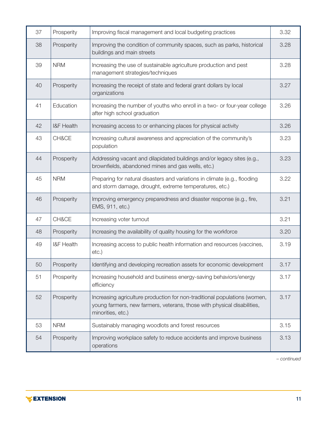| 37 | Prosperity                                                                                      | Improving fiscal management and local budgeting practices                                                                                                                 |      |  |  |
|----|-------------------------------------------------------------------------------------------------|---------------------------------------------------------------------------------------------------------------------------------------------------------------------------|------|--|--|
| 38 | Prosperity                                                                                      | Improving the condition of community spaces, such as parks, historical<br>buildings and main streets                                                                      | 3.28 |  |  |
| 39 | <b>NRM</b>                                                                                      | Increasing the use of sustainable agriculture production and pest<br>management strategies/techniques                                                                     | 3.28 |  |  |
| 40 | Prosperity                                                                                      | Increasing the receipt of state and federal grant dollars by local<br>organizations                                                                                       |      |  |  |
| 41 | Education                                                                                       | Increasing the number of youths who enroll in a two- or four-year college<br>after high school graduation                                                                 |      |  |  |
| 42 | <b>I&amp;F Health</b>                                                                           | Increasing access to or enhancing places for physical activity                                                                                                            | 3.26 |  |  |
| 43 | CH&CE                                                                                           | Increasing cultural awareness and appreciation of the community's<br>population                                                                                           | 3.23 |  |  |
| 44 | Prosperity                                                                                      | Addressing vacant and dilapidated buildings and/or legacy sites (e.g.,<br>brownfields, abandoned mines and gas wells, etc.)                                               |      |  |  |
| 45 | <b>NRM</b>                                                                                      | Preparing for natural disasters and variations in climate (e.g., flooding<br>and storm damage, drought, extreme temperatures, etc.)                                       |      |  |  |
| 46 | Prosperity                                                                                      | Improving emergency preparedness and disaster response (e.g., fire,<br>EMS, 911, etc.)                                                                                    |      |  |  |
| 47 | CH&CE                                                                                           | Increasing voter turnout                                                                                                                                                  |      |  |  |
| 48 | Prosperity                                                                                      | Increasing the availability of quality housing for the workforce                                                                                                          |      |  |  |
| 49 | <b>I&amp;F Health</b>                                                                           | Increasing access to public health information and resources (vaccines,<br>etc.)                                                                                          |      |  |  |
| 50 | Prosperity                                                                                      | Identifying and developing recreation assets for economic development                                                                                                     |      |  |  |
| 51 | Prosperity                                                                                      | Increasing household and business energy-saving behaviors/energy<br>efficiency                                                                                            |      |  |  |
| 52 | Prosperity                                                                                      | Increasing agriculture production for non-traditional populations (women,<br>young farmers, new farmers, veterans, those with physical disabilities,<br>minorities, etc.) |      |  |  |
| 53 | <b>NRM</b>                                                                                      | Sustainably managing woodlots and forest resources                                                                                                                        | 3.15 |  |  |
| 54 | Prosperity<br>Improving workplace safety to reduce accidents and improve business<br>operations |                                                                                                                                                                           | 3.13 |  |  |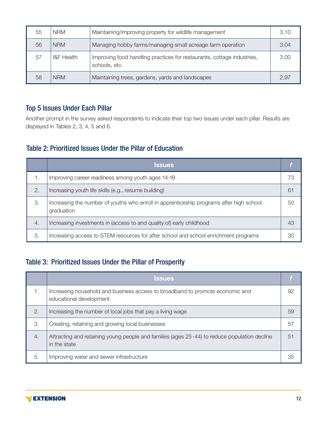| 55 | <b>NRM</b>            | Maintaining/improving property for wildlife management                                  |      |
|----|-----------------------|-----------------------------------------------------------------------------------------|------|
| 56 | <b>NRM</b>            | Managing hobby farms/managing small acreage farm operation                              | 3.04 |
| 57 | <b>I&amp;F</b> Health | Improving food handling practices for restaurants, cottage industries,<br>schools, etc. | 3.00 |
| 58 | <b>NRM</b>            | Maintaining trees, gardens, yards and landscapes                                        | 2.97 |

### Top 5 Issues Under Each Pillar

Another prompt in the survey asked respondents to indicate their top two issues under each pillar. Results are displayed in Tables 2, 3, 4, 5 and 6.

### Table 2: Prioritized Issues Under the Pillar of Education

|    | <b>Issues</b>                                                                                         |    |
|----|-------------------------------------------------------------------------------------------------------|----|
|    | Improving career readiness among youth ages 14-18                                                     | 73 |
| 2. | Increasing youth life skills (e.g., resume building)                                                  | 61 |
| 3. | Increasing the number of youths who enroll in apprenticeship programs after high school<br>graduation | 50 |
| 4. | Increasing investments in (access to and quality of) early childhood                                  | 43 |
| 5. | Increasing access to STEM resources for after school and school enrichment programs                   | 30 |

### Table 3: Prioritized Issues Under the Pillar of Prosperity

|    | <b>Issues</b>                                                                                                |    |
|----|--------------------------------------------------------------------------------------------------------------|----|
| 1. | Increasing household and business access to broadband to promote economic and<br>educational development     | 92 |
| 2. | Increasing the number of local jobs that pay a living wage                                                   | 59 |
| 3. | Creating, retaining and growing local businesses                                                             | 57 |
| 4. | Attracting and retaining young people and families (ages 25-44) to reduce population decline<br>in the state | 51 |
| 5. | Improving water and sewer infrastructure                                                                     | 35 |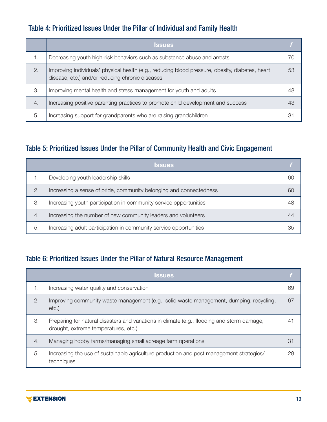### Table 4: Prioritized Issues Under the Pillar of Individual and Family Health

|    | <b>Issues</b>                                                                                                                                      |    |
|----|----------------------------------------------------------------------------------------------------------------------------------------------------|----|
|    | Decreasing youth high-risk behaviors such as substance abuse and arrests                                                                           | 70 |
| 2. | Improving individuals' physical health (e.g., reducing blood pressure, obesity, diabetes, heart<br>disease, etc.) and/or reducing chronic diseases | 53 |
| 3. | Improving mental health and stress management for youth and adults                                                                                 | 48 |
| 4. | Increasing positive parenting practices to promote child development and success                                                                   | 43 |
| 5. | Increasing support for grandparents who are raising grandchildren                                                                                  | 31 |

### Table 5: Prioritized Issues Under the Pillar of Community Health and Civic Engagement

|    | <b>Issues</b>                                                      |    |
|----|--------------------------------------------------------------------|----|
|    | Developing youth leadership skills                                 | 6C |
| 2. | Increasing a sense of pride, community belonging and connectedness | 60 |
| 3. | Increasing youth participation in community service opportunities  | 48 |
| 4. | Increasing the number of new community leaders and volunteers      | 44 |
| 5. | Increasing adult participation in community service opportunities  | 35 |

### Table 6: Prioritized Issues Under the Pillar of Natural Resource Management

|    | <b>Issues</b>                                                                                                                       |    |
|----|-------------------------------------------------------------------------------------------------------------------------------------|----|
| 1. | Increasing water quality and conservation                                                                                           | 69 |
| 2. | Improving community waste management (e.g., solid waste management, dumping, recycling,<br>etc.)                                    | 67 |
| 3. | Preparing for natural disasters and variations in climate (e.g., flooding and storm damage,<br>drought, extreme temperatures, etc.) | 41 |
| 4. | Managing hobby farms/managing small acreage farm operations                                                                         | 31 |
| 5. | Increasing the use of sustainable agriculture production and pest management strategies/<br>techniques                              | 28 |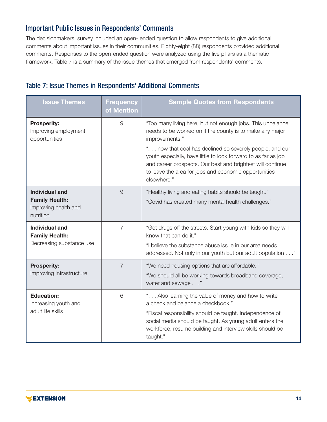### Important Public Issues in Respondents' Comments

The decisionmakers' survey included an open- ended question to allow respondents to give additional comments about important issues in their communities. Eighty-eight (88) respondents provided additional comments. Responses to the open-ended question were analyzed using the five pillars as a thematic framework. Table 7 is a summary of the issue themes that emerged from respondents' comments.

|  |  |  | Table 7: Issue Themes in Respondents' Additional Comments |  |  |
|--|--|--|-----------------------------------------------------------|--|--|
|--|--|--|-----------------------------------------------------------|--|--|

| <b>Issue Themes</b>                                                          | <b>Frequency</b><br>of Mention | <b>Sample Quotes from Respondents</b>                                                                                                                                                                                                                                                                                                                                                                        |
|------------------------------------------------------------------------------|--------------------------------|--------------------------------------------------------------------------------------------------------------------------------------------------------------------------------------------------------------------------------------------------------------------------------------------------------------------------------------------------------------------------------------------------------------|
| <b>Prosperity:</b><br>Improving employment<br>opportunities                  | $\mathcal{G}% _{0}$            | "Too many living here, but not enough jobs. This unbalance<br>needs to be worked on if the county is to make any major<br>improvements."<br>" now that coal has declined so severely people, and our<br>youth especially, have little to look forward to as far as job<br>and career prospects. Our best and brightest will continue<br>to leave the area for jobs and economic opportunities<br>elsewhere." |
| Individual and<br><b>Family Health:</b><br>Improving health and<br>nutrition | 9                              | "Healthy living and eating habits should be taught."<br>"Covid has created many mental health challenges."                                                                                                                                                                                                                                                                                                   |
| Individual and<br><b>Family Health:</b><br>Decreasing substance use          | $\overline{7}$                 | "Get drugs off the streets. Start young with kids so they will<br>know that can do it."<br>"I believe the substance abuse issue in our area needs<br>addressed. Not only in our youth but our adult population"                                                                                                                                                                                              |
| <b>Prosperity:</b><br>Improving Infrastructure                               | $\overline{7}$                 | "We need housing options that are affordable."<br>"We should all be working towards broadband coverage,<br>water and sewage"                                                                                                                                                                                                                                                                                 |
| <b>Education:</b><br>Increasing youth and<br>adult life skills               | 6                              | " Also learning the value of money and how to write<br>a check and balance a checkbook."<br>"Fiscal responsibility should be taught. Independence of<br>social media should be taught. As young adult enters the<br>workforce, resume building and interview skills should be<br>taught."                                                                                                                    |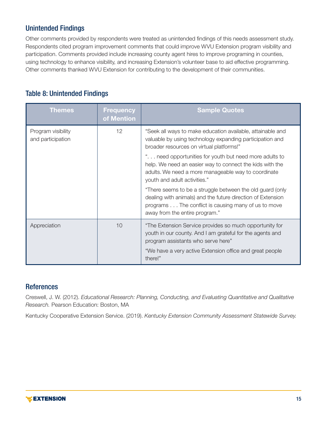### Unintended Findings

Other comments provided by respondents were treated as unintended findings of this needs assessment study. Respondents cited program improvement comments that could improve WVU Extension program visibility and participation. Comments provided include increasing county agent hires to improve programing in counties, using technology to enhance visibility, and increasing Extension's volunteer base to aid effective programming. Other comments thanked WVU Extension for contributing to the development of their communities.

### Table 8: Unintended Findings

| <b>Themes</b>                           | <b>Frequency</b><br>of Mention | <b>Sample Quotes</b>                                                                                                                                                                                              |
|-----------------------------------------|--------------------------------|-------------------------------------------------------------------------------------------------------------------------------------------------------------------------------------------------------------------|
| Program visibility<br>and participation | 12                             | "Seek all ways to make education available, attainable and<br>valuable by using technology expanding participation and<br>broader resources on virtual platforms!"                                                |
|                                         |                                | ' need opportunities for youth but need more adults to<br>help. We need an easier way to connect the kids with the<br>adults. We need a more manageable way to coordinate<br>youth and adult activities."         |
|                                         |                                | "There seems to be a struggle between the old guard (only<br>dealing with animals) and the future direction of Extension<br>programs The conflict is causing many of us to move<br>away from the entire program." |
| Appreciation                            | 10                             | "The Extension Service provides so much opportunity for<br>youth in our county. And I am grateful for the agents and<br>program assistants who serve here"                                                        |
|                                         |                                | "We have a very active Extension office and great people<br>there!"                                                                                                                                               |

### **References**

Creswell, J. W. (2012). *Educational Research: Planning, Conducting, and Evaluating Quantitative and Qualitative Research.* Pearson Education: Boston, MA

Kentucky Cooperative Extension Service. (2019). *Kentucky Extension Community Assessment Statewide Survey.*